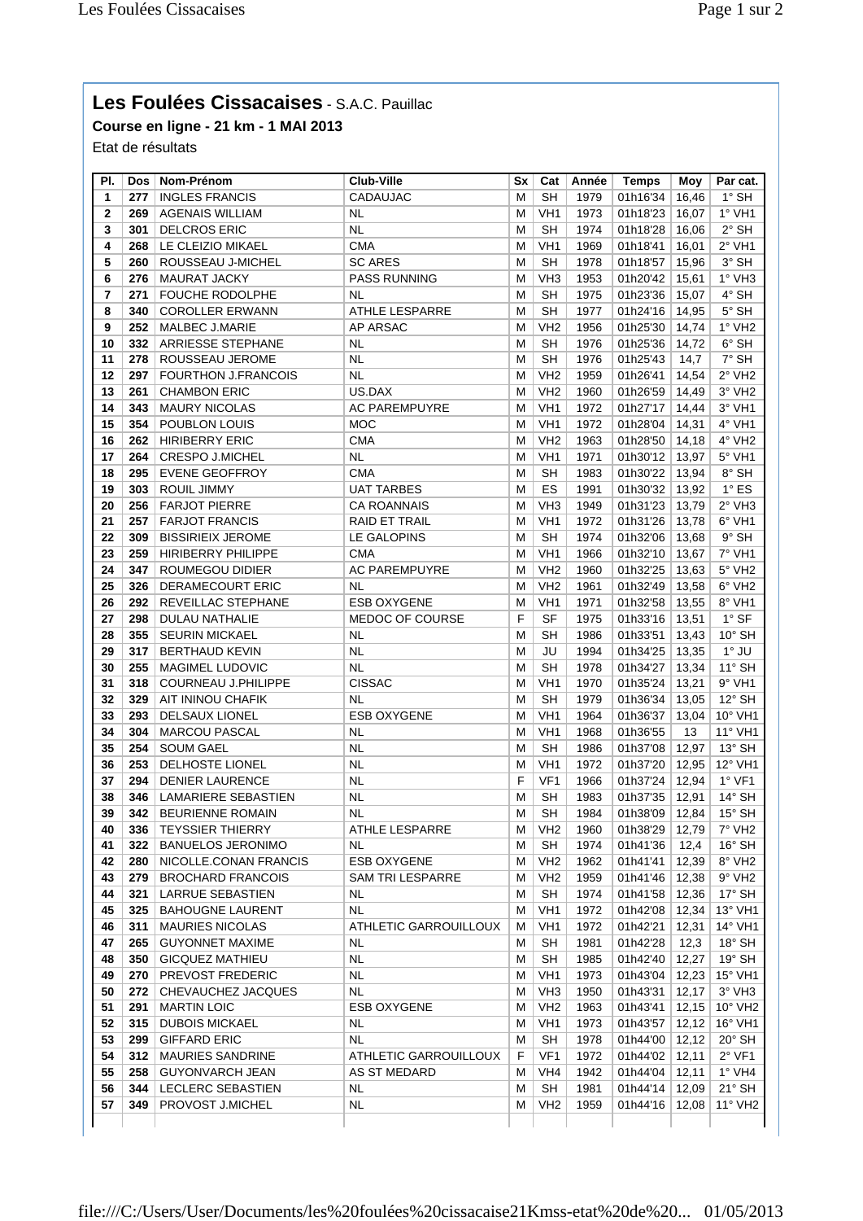## **Les Foulées Cissacaises** - S.A.C. Pauillac

**Course en ligne - 21 km - 1 MAI 2013**

Etat de résultats

| PI. |     | Dos   Nom-Prénom           | Club-Ville              | Sx | Cat             | Année | <b>Temps</b> | Moy   | Par cat.                    |
|-----|-----|----------------------------|-------------------------|----|-----------------|-------|--------------|-------|-----------------------------|
| 1   | 277 | <b>INGLES FRANCIS</b>      | CADAUJAC                | м  | SH              | 1979  | 01h16'34     | 16,46 | $1^\circ$ SH                |
| 2   | 269 | <b>AGENAIS WILLIAM</b>     | <b>NL</b>               | м  | VH <sub>1</sub> | 1973  | 01h18'23     | 16,07 | $1°$ VH1                    |
| 3   | 301 | <b>DELCROS ERIC</b>        | NL                      | M  | <b>SH</b>       | 1974  | 01h18'28     | 16,06 | $2^{\circ}$ SH              |
| 4   | 268 | LE CLEIZIO MIKAEL          | <b>CMA</b>              | м  | VH <sub>1</sub> | 1969  | 01h18'41     | 16,01 | $2°$ VH1                    |
| 5   | 260 | ROUSSEAU J-MICHEL          | <b>SC ARES</b>          | М  | <b>SH</b>       | 1978  | 01h18'57     | 15,96 | $3^\circ$ SH                |
| 6   | 276 | <b>MAURAT JACKY</b>        | <b>PASS RUNNING</b>     | м  | VH <sub>3</sub> | 1953  | 01h20'42     | 15,61 | 1° VH3                      |
| 7   | 271 | <b>FOUCHE RODOLPHE</b>     | <b>NL</b>               | м  | <b>SH</b>       | 1975  | 01h23'36     | 15,07 | 4° SH                       |
|     | 340 |                            |                         |    | <b>SH</b>       |       |              |       | $5^\circ$ SH                |
| 8   |     | <b>COROLLER ERWANN</b>     | ATHLE LESPARRE          | М  |                 | 1977  | 01h24'16     | 14,95 |                             |
| 9   | 252 | MALBEC J.MARIE             | AP ARSAC                | М  | VH <sub>2</sub> | 1956  | 01h25'30     | 14.74 | $1°$ VH <sub>2</sub>        |
| 10  | 332 | <b>ARRIESSE STEPHANE</b>   | NL                      | м  | <b>SH</b>       | 1976  | 01h25'36     | 14,72 | $6^\circ$ SH                |
| 11  | 278 | ROUSSEAU JEROME            | NL.                     | м  | <b>SH</b>       | 1976  | 01h25'43     | 14,7  | 7° SH                       |
| 12  | 297 | <b>FOURTHON J.FRANCOIS</b> | NL                      | м  | VH <sub>2</sub> | 1959  | 01h26'41     | 14,54 | $2^{\circ}$ VH <sub>2</sub> |
| 13  | 261 | <b>CHAMBON ERIC</b>        | US.DAX                  | М  | VH <sub>2</sub> | 1960  | 01h26'59     | 14,49 | 3° VH2                      |
| 14  | 343 | <b>MAURY NICOLAS</b>       | <b>AC PAREMPUYRE</b>    | М  | VH <sub>1</sub> | 1972  | 01h27'17     | 14,44 | 3° VH1                      |
| 15  | 354 | POUBLON LOUIS              | <b>MOC</b>              | м  | VH <sub>1</sub> | 1972  | 01h28'04     | 14,31 | 4° VH1                      |
| 16  | 262 | <b>HIRIBERRY ERIC</b>      | <b>CMA</b>              | М  | VH <sub>2</sub> | 1963  | 01h28'50     | 14,18 | 4° VH2                      |
| 17  | 264 | <b>CRESPO J.MICHEL</b>     | <b>NL</b>               | М  | VH <sub>1</sub> | 1971  | 01h30'12     | 13,97 | 5° VH1                      |
| 18  | 295 | <b>EVENE GEOFFROY</b>      | <b>CMA</b>              | М  | <b>SH</b>       | 1983  | 01h30'22     | 13,94 | 8° SH                       |
| 19  | 303 | ROUIL JIMMY                | <b>UAT TARBES</b>       | М  | ES              | 1991  | 01h30'32     | 13,92 | $1^\circ$ ES                |
| 20  | 256 | <b>FARJOT PIERRE</b>       | <b>CA ROANNAIS</b>      | м  | VH <sub>3</sub> | 1949  | 01h31'23     | 13,79 | $2°$ VH3                    |
| 21  | 257 | <b>FARJOT FRANCIS</b>      | <b>RAID ET TRAIL</b>    | М  | VH <sub>1</sub> | 1972  | 01h31'26     | 13,78 | 6° VH1                      |
| 22  | 309 | <b>BISSIRIEIX JEROME</b>   | LE GALOPINS             | М  | <b>SH</b>       | 1974  | 01h32'06     | 13,68 | $9°$ SH                     |
| 23  | 259 | <b>HIRIBERRY PHILIPPE</b>  | <b>CMA</b>              | м  | VH <sub>1</sub> | 1966  | 01h32'10     | 13,67 | 7° VH1                      |
| 24  | 347 | <b>ROUMEGOU DIDIER</b>     | <b>AC PAREMPUYRE</b>    | М  | VH <sub>2</sub> | 1960  | 01h32'25     | 13,63 | 5° VH2                      |
| 25  |     | <b>DERAMECOURT ERIC</b>    | NL                      | М  | VH <sub>2</sub> |       | 01h32'49     | 13,58 | 6° VH2                      |
|     | 326 |                            |                         |    |                 | 1961  |              |       |                             |
| 26  | 292 | REVEILLAC STEPHANE         | <b>ESB OXYGENE</b>      | М  | VH <sub>1</sub> | 1971  | 01h32'58     | 13,55 | 8° VH1                      |
| 27  | 298 | DULAU NATHALIE             | MEDOC OF COURSE         | F  | <b>SF</b>       | 1975  | 01h33'16     | 13,51 | $1^\circ$ SF                |
| 28  | 355 | <b>SEURIN MICKAEL</b>      | NL.                     | м  | <b>SH</b>       | 1986  | 01h33'51     | 13,43 | $10^{\circ}$ SH             |
| 29  | 317 | <b>BERTHAUD KEVIN</b>      | <b>NL</b>               | м  | JU              | 1994  | 01h34'25     | 13,35 | $1^\circ$ JU                |
| 30  | 255 | MAGIMEL LUDOVIC            | <b>NL</b>               | M  | <b>SH</b>       | 1978  | 01h34'27     | 13,34 | $11^{\circ}$ SH             |
| 31  | 318 | COURNEAU J.PHILIPPE        | <b>CISSAC</b>           | М  | VH1             | 1970  | 01h35'24     | 13,21 | $9°$ VH1                    |
| 32  | 329 | AIT ININOU CHAFIK          | NL                      | M  | <b>SH</b>       | 1979  | 01h36'34     | 13,05 | $12^{\circ}$ SH             |
| 33  | 293 | DELSAUX LIONEL             | <b>ESB OXYGENE</b>      | М  | VH <sub>1</sub> | 1964  | 01h36'37     | 13,04 | 10° VH1                     |
| 34  | 304 | <b>MARCOU PASCAL</b>       | <b>NL</b>               | м  | VH <sub>1</sub> | 1968  | 01h36'55     | 13    | 11° VH1                     |
| 35  | 254 | <b>SOUM GAEL</b>           | <b>NL</b>               | М  | <b>SH</b>       | 1986  | 01h37'08     | 12,97 | $13^\circ$ SH               |
| 36  | 253 | DELHOSTE LIONEL            | NL                      | м  | VH <sub>1</sub> | 1972  | 01h37'20     | 12,95 | 12° VH1                     |
| 37  | 294 | <b>DENIER LAURENCE</b>     | <b>NL</b>               | F  | VF <sub>1</sub> | 1966  | 01h37'24     | 12,94 | $1°$ VF1                    |
| 38  | 346 | LAMARIERE SEBASTIEN        | <b>NL</b>               | м  | SH              | 1983  | 01h37'35     | 12,91 | $14^{\circ}$ SH             |
| 39  |     | 342   BEURIENNE ROMAIN     | NL                      | м  | <b>SH</b>       | 1984  | 01h38'09     | 12,84 | $15^{\circ}$ SH             |
| 40  | 336 | <b>TEYSSIER THIERRY</b>    | ATHLE LESPARRE          | м  | VH2             | 1960  | 01h38'29     | 12,79 | $7^\circ$ VH <sub>2</sub>   |
| 41  | 322 | <b>BANUELOS JERONIMO</b>   | NL                      | м  | SH              | 1974  | 01h41'36     | 12,4  | $16^\circ$ SH               |
| 42  | 280 | NICOLLE.CONAN FRANCIS      | ESB OXYGENE             | М  | VH2             | 1962  | 01h41'41     | 12,39 | 8° VH <sub>2</sub>          |
| 43  | 279 | <b>BROCHARD FRANCOIS</b>   | <b>SAM TRI LESPARRE</b> | м  | VH <sub>2</sub> | 1959  | 01h41'46 $ $ | 12,38 | $9°$ VH <sub>2</sub>        |
| 44  | 321 | LARRUE SEBASTIEN           | <b>NL</b>               | М  | SH              | 1974  |              | 12,36 | $17^\circ$ SH               |
|     |     |                            |                         |    |                 |       | 01h41'58     |       |                             |
| 45  | 325 | <b>BAHOUGNE LAURENT</b>    | NL                      | м  | VH1             | 1972  | 01h42'08     | 12,34 | 13° VH1                     |
| 46  | 311 | <b>MAURIES NICOLAS</b>     | ATHLETIC GARROUILLOUX   | м  | VH1             | 1972  | 01h42'21     | 12,31 | 14° VH1                     |
| 47  | 265 | <b>GUYONNET MAXIME</b>     | NL                      | м  | <b>SH</b>       | 1981  | 01h42'28     | 12,3  | $18^{\circ}$ SH             |
| 48  | 350 | <b>GICQUEZ MATHIEU</b>     | NL.                     | М  | SH              | 1985  | 01h42'40     | 12,27 | $19^\circ$ SH               |
| 49  | 270 | PREVOST FREDERIC           | NL                      | М  | VH <sub>1</sub> | 1973  | 01h43'04     | 12,23 | 15° VH1                     |
| 50  | 272 | CHEVAUCHEZ JACQUES         | <b>NL</b>               | M  | VH <sub>3</sub> | 1950  | 01h43'31     | 12,17 | $3°$ VH3                    |
| 51  | 291 | <b>MARTIN LOIC</b>         | <b>ESB OXYGENE</b>      | M  | VH <sub>2</sub> | 1963  | 01h43'41     | 12,15 | 10° VH2                     |
| 52  | 315 | <b>DUBOIS MICKAEL</b>      | NL                      | М  | VH <sub>1</sub> | 1973  | 01h43'57     | 12,12 | 16° VH1                     |
| 53  | 299 | <b>GIFFARD ERIC</b>        | NL.                     | м  | SH              | 1978  | 01h44'00     | 12,12 | $20^\circ$ SH               |
| 54  | 312 | <b>MAURIES SANDRINE</b>    | ATHLETIC GARROUILLOUX   | F  | VF1             | 1972  | 01h44'02     | 12,11 | $2°$ VF1                    |
| 55  | 258 | <b>GUYONVARCH JEAN</b>     | AS ST MEDARD            | м  | VH4             | 1942  | 01h44'04     | 12,11 | $1^\circ$ VH4               |
| 56  | 344 | LECLERC SEBASTIEN          | NL                      | М  | <b>SH</b>       | 1981  | 01h44'14     | 12,09 | $21^\circ$ SH               |
| 57  | 349 | PROVOST J.MICHEL           | NL                      | м  | VH <sub>2</sub> | 1959  | 01h44'16     | 12,08 | 11° VH2                     |
|     |     |                            |                         |    |                 |       |              |       |                             |